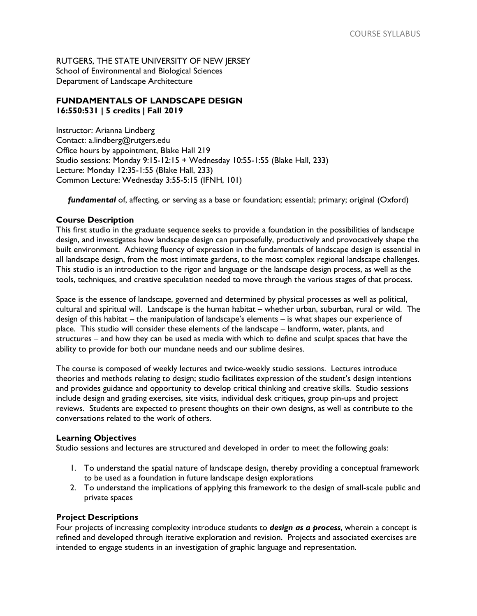RUTGERS, THE STATE UNIVERSITY OF NEW JERSEY School of Environmental and Biological Sciences Department of Landscape Architecture

# **FUNDAMENTALS OF LANDSCAPE DESIGN 16:550:531 | 5 credits | Fall 2019**

Instructor: Arianna Lindberg Contact: [a.lindberg@rutgers.edu](mailto:a.lindberg@rutgers.edu) Office hours by appointment, Blake Hall 219 Studio sessions: Monday 9:15-12:15 + Wednesday 10:55-1:55 (Blake Hall, 233) Lecture: Monday 12:35-1:55 (Blake Hall, 233) Common Lecture: Wednesday 3:55-5:15 (IFNH, 101)

*fundamental* of, affecting, or serving as a base or foundation; essential; primary; original (Oxford)

# **Course Description**

This first studio in the graduate sequence seeks to provide a foundation in the possibilities of landscape design, and investigates how landscape design can purposefully, productively and provocatively shape the built environment. Achieving fluency of expression in the fundamentals of landscape design is essential in all landscape design, from the most intimate gardens, to the most complex regional landscape challenges. This studio is an introduction to the rigor and language or the landscape design process, as well as the tools, techniques, and creative speculation needed to move through the various stages of that process.

Space is the essence of landscape, governed and determined by physical processes as well as political, cultural and spiritual will. Landscape is the human habitat – whether urban, suburban, rural or wild. The design of this habitat – the manipulation of landscape's elements – is what shapes our experience of place. This studio will consider these elements of the landscape – landform, water, plants, and structures – and how they can be used as media with which to define and sculpt spaces that have the ability to provide for both our mundane needs and our sublime desires.

The course is composed of weekly lectures and twice-weekly studio sessions. Lectures introduce theories and methods relating to design; studio facilitates expression of the student's design intentions and provides guidance and opportunity to develop critical thinking and creative skills. Studio sessions include design and grading exercises, site visits, individual desk critiques, group pin-ups and project reviews. Students are expected to present thoughts on their own designs, as well as contribute to the conversations related to the work of others.

## **Learning Objectives**

Studio sessions and lectures are structured and developed in order to meet the following goals:

- 1. To understand the spatial nature of landscape design, thereby providing a conceptual framework to be used as a foundation in future landscape design explorations
- 2. To understand the implications of applying this framework to the design of small-scale public and private spaces

## **Project Descriptions**

Four projects of increasing complexity introduce students to *design as a process*, wherein a concept is refined and developed through iterative exploration and revision. Projects and associated exercises are intended to engage students in an investigation of graphic language and representation.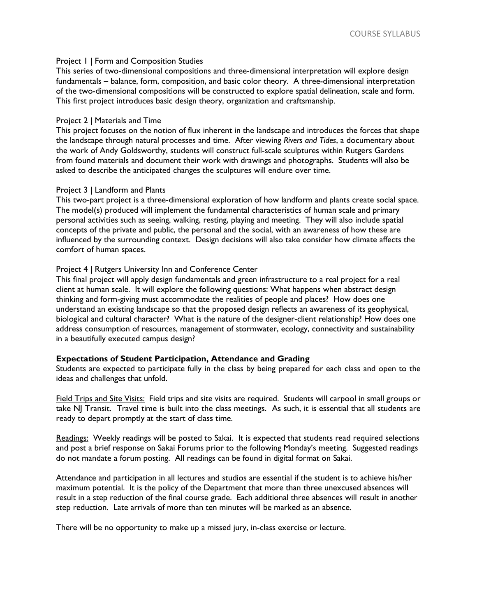### Project 1 | Form and Composition Studies

This series of two-dimensional compositions and three-dimensional interpretation will explore design fundamentals – balance, form, composition, and basic color theory. A three-dimensional interpretation of the two-dimensional compositions will be constructed to explore spatial delineation, scale and form. This first project introduces basic design theory, organization and craftsmanship.

### Project 2 | Materials and Time

This project focuses on the notion of flux inherent in the landscape and introduces the forces that shape the landscape through natural processes and time. After viewing *Rivers and Tides*, a documentary about the work of Andy Goldsworthy, students will construct full-scale sculptures within Rutgers Gardens from found materials and document their work with drawings and photographs. Students will also be asked to describe the anticipated changes the sculptures will endure over time.

### Project 3 | Landform and Plants

This two-part project is a three-dimensional exploration of how landform and plants create social space. The model(s) produced will implement the fundamental characteristics of human scale and primary personal activities such as seeing, walking, resting, playing and meeting. They will also include spatial concepts of the private and public, the personal and the social, with an awareness of how these are influenced by the surrounding context. Design decisions will also take consider how climate affects the comfort of human spaces.

### Project 4 | Rutgers University Inn and Conference Center

This final project will apply design fundamentals and green infrastructure to a real project for a real client at human scale. It will explore the following questions: What happens when abstract design thinking and form-giving must accommodate the realities of people and places? How does one understand an existing landscape so that the proposed design reflects an awareness of its geophysical, biological and cultural character? What is the nature of the designer-client relationship? How does one address consumption of resources, management of stormwater, ecology, connectivity and sustainability in a beautifully executed campus design?

## **Expectations of Student Participation, Attendance and Grading**

Students are expected to participate fully in the class by being prepared for each class and open to the ideas and challenges that unfold.

Field Trips and Site Visits: Field trips and site visits are required. Students will carpool in small groups or take NJ Transit. Travel time is built into the class meetings. As such, it is essential that all students are ready to depart promptly at the start of class time.

Readings: Weekly readings will be posted to Sakai. It is expected that students read required selections and post a brief response on Sakai Forums prior to the following Monday's meeting. Suggested readings do not mandate a forum posting. All readings can be found in digital format on Sakai.

Attendance and participation in all lectures and studios are essential if the student is to achieve his/her maximum potential. It is the policy of the Department that more than three unexcused absences will result in a step reduction of the final course grade. Each additional three absences will result in another step reduction. Late arrivals of more than ten minutes will be marked as an absence.

There will be no opportunity to make up a missed jury, in-class exercise or lecture.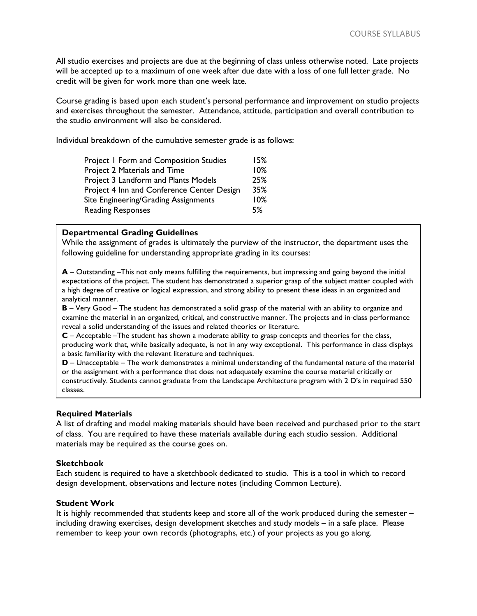All studio exercises and projects are due at the beginning of class unless otherwise noted. Late projects will be accepted up to a maximum of one week after due date with a loss of one full letter grade. No credit will be given for work more than one week late.

Course grading is based upon each student's personal performance and improvement on studio projects and exercises throughout the semester. Attendance, attitude, participation and overall contribution to the studio environment will also be considered.

Individual breakdown of the cumulative semester grade is as follows:

| <b>Project I Form and Composition Studies</b><br>Project 2 Materials and Time<br>Project 3 Landform and Plants Models | 15%<br>10%<br>25% |                                            |     |
|-----------------------------------------------------------------------------------------------------------------------|-------------------|--------------------------------------------|-----|
|                                                                                                                       |                   | Project 4 Inn and Conference Center Design | 35% |
|                                                                                                                       |                   | Site Engineering/Grading Assignments       | 10% |
| <b>Reading Responses</b>                                                                                              | 5%                |                                            |     |

### **Departmental Grading Guidelines**

While the assignment of grades is ultimately the purview of the instructor, the department uses the following guideline for understanding appropriate grading in its courses:

**A** – Outstanding –This not only means fulfilling the requirements, but impressing and going beyond the initial expectations of the project. The student has demonstrated a superior grasp of the subject matter coupled with a high degree of creative or logical expression, and strong ability to present these ideas in an organized and analytical manner.

**B** – Very Good – The student has demonstrated a solid grasp of the material with an ability to organize and examine the material in an organized, critical, and constructive manner. The projects and in‐class performance reveal a solid understanding of the issues and related theories or literature.

**C** – Acceptable –The student has shown a moderate ability to grasp concepts and theories for the class, producing work that, while basically adequate, is not in any way exceptional. This performance in class displays a basic familiarity with the relevant literature and techniques.

**D** – Unacceptable – The work demonstrates a minimal understanding of the fundamental nature of the material or the assignment with a performance that does not adequately examine the course material critically or constructively. Students cannot graduate from the Landscape Architecture program with 2 D's in required 550 classes.

#### **Required Materials** יי<br>י

Ī

A list of drafting and model making materials should have been received and purchased prior to the start of class. You are required to have these materials available during each studio session. Additional materials may be required as the course goes on.

### **Sketchbook**

Each student is required to have a sketchbook dedicated to studio. This is a tool in which to record design development, observations and lecture notes (including Common Lecture).

#### **Student Work**

It is highly recommended that students keep and store all of the work produced during the semester – including drawing exercises, design development sketches and study models – in a safe place. Please remember to keep your own records (photographs, etc.) of your projects as you go along.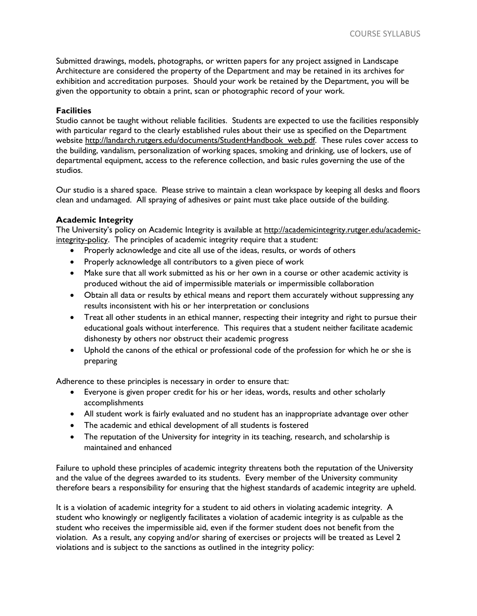Submitted drawings, models, photographs, or written papers for any project assigned in Landscape Architecture are considered the property of the Department and may be retained in its archives for exhibition and accreditation purposes. Should your work be retained by the Department, you will be given the opportunity to obtain a print, scan or photographic record of your work.

# **Facilities**

Studio cannot be taught without reliable facilities. Students are expected to use the facilities responsibly with particular regard to the clearly established rules about their use as specified on the Department website http://landarch.rutgers.edu/documents/StudentHandbook\_web.pdf. These rules cover access to the building, vandalism, personalization of working spaces, smoking and drinking, use of lockers, use of departmental equipment, access to the reference collection, and basic rules governing the use of the studios.

Our studio is a shared space. Please strive to maintain a clean workspace by keeping all desks and floors clean and undamaged. All spraying of adhesives or paint must take place outside of the building.

## **Academic Integrity**

The University's policy on Academic Integrity is available at [http://academicintegrity.rutger.edu/academic](http://academicintegrity.rutger.edu/academic-integrity-policy)[integrity-policy.](http://academicintegrity.rutger.edu/academic-integrity-policy) The principles of academic integrity require that a student:

- Properly acknowledge and cite all use of the ideas, results, or words of others
- Properly acknowledge all contributors to a given piece of work
- Make sure that all work submitted as his or her own in a course or other academic activity is produced without the aid of impermissible materials or impermissible collaboration
- Obtain all data or results by ethical means and report them accurately without suppressing any results inconsistent with his or her interpretation or conclusions
- Treat all other students in an ethical manner, respecting their integrity and right to pursue their educational goals without interference. This requires that a student neither facilitate academic dishonesty by others nor obstruct their academic progress
- Uphold the canons of the ethical or professional code of the profession for which he or she is preparing

Adherence to these principles is necessary in order to ensure that:

- Everyone is given proper credit for his or her ideas, words, results and other scholarly accomplishments
- All student work is fairly evaluated and no student has an inappropriate advantage over other
- The academic and ethical development of all students is fostered
- The reputation of the University for integrity in its teaching, research, and scholarship is maintained and enhanced

Failure to uphold these principles of academic integrity threatens both the reputation of the University and the value of the degrees awarded to its students. Every member of the University community therefore bears a responsibility for ensuring that the highest standards of academic integrity are upheld.

It is a violation of academic integrity for a student to aid others in violating academic integrity. A student who knowingly or negligently facilitates a violation of academic integrity is as culpable as the student who receives the impermissible aid, even if the former student does not benefit from the violation. As a result, any copying and/or sharing of exercises or projects will be treated as Level 2 violations and is subject to the sanctions as outlined in the integrity policy: